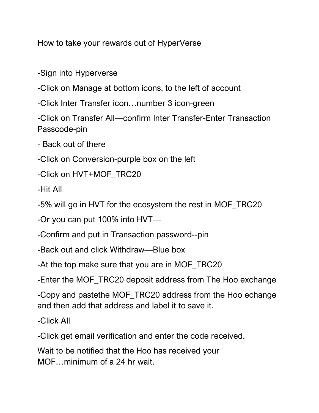How to take your rewards out of HyperVerse

-Sign into Hyperverse

-Click on Manage at bottom icons, to the left of account

-Click Inter Transfer icon…number 3 icon-green

-Click on Transfer All—confirm Inter Transfer-Enter Transaction Passcode-pin

- Back out of there

-Click on Conversion-purple box on the left

-Click on HVT+MOF\_TRC20

-Hit All

-5% will go in HVT for the ecosystem the rest in MOF\_TRC20

-Or you can put 100% into HVT—

-Confirm and put in Transaction password--pin

-Back out and click Withdraw—Blue box

-At the top make sure that you are in MOF\_TRC20

-Enter the MOF\_TRC20 deposit address from The Hoo exchange

-Copy and pastethe MOF\_TRC20 address from the Hoo echange and then add that address and label it to save it.

-Click All

-Click get email verification and enter the code received.

Wait to be notified that the Hoo has received your MOF…minimum of a 24 hr wait.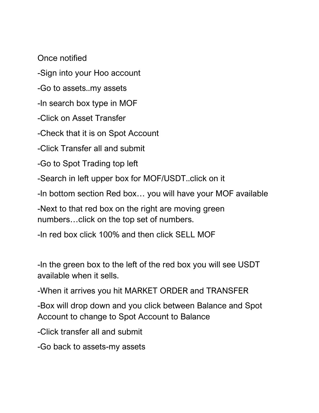Once notified

-Sign into your Hoo account

-Go to assets..my assets

-In search box type in MOF

-Click on Asset Transfer

-Check that it is on Spot Account

-Click Transfer all and submit

-Go to Spot Trading top left

-Search in left upper box for MOF/USDT..click on it

-In bottom section Red box… you will have your MOF available

-Next to that red box on the right are moving green numbers…click on the top set of numbers.

-In red box click 100% and then click SELL MOF

-In the green box to the left of the red box you will see USDT available when it sells.

-When it arrives you hit MARKET ORDER and TRANSFER

-Box will drop down and you click between Balance and Spot Account to change to Spot Account to Balance

-Click transfer all and submit

-Go back to assets-my assets